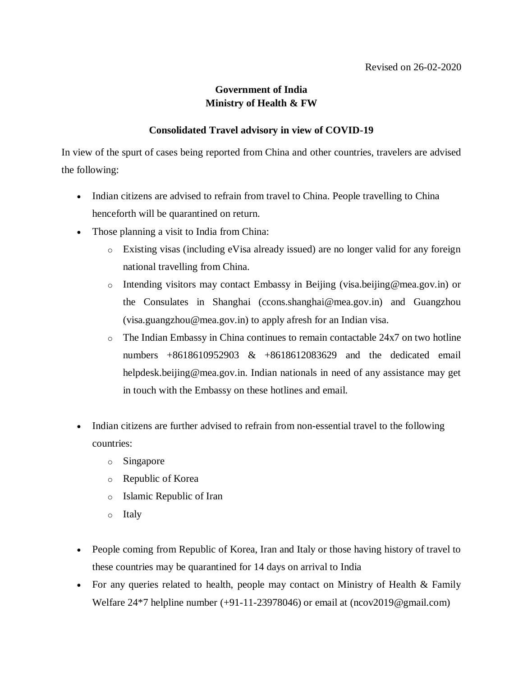## **Government of India Ministry of Health & FW**

## **Consolidated Travel advisory in view of COVID-19**

In view of the spurt of cases being reported from China and other countries, travelers are advised the following:

- Indian citizens are advised to refrain from travel to China. People travelling to China henceforth will be quarantined on return.
- Those planning a visit to India from China:
	- o Existing visas (including eVisa already issued) are no longer valid for any foreign national travelling from China.
	- o Intending visitors may contact Embassy in Beijing (visa.beijing@mea.gov.in) or the Consulates in Shanghai (ccons.shanghai@mea.gov.in) and Guangzhou (visa.guangzhou@mea.gov.in) to apply afresh for an Indian visa.
	- o The Indian Embassy in China continues to remain contactable 24x7 on two hotline numbers +8618610952903 & +8618612083629 and the dedicated email helpdesk.beijing@mea.gov.in. Indian nationals in need of any assistance may get in touch with the Embassy on these hotlines and email.
- Indian citizens are further advised to refrain from non-essential travel to the following countries:
	- o Singapore
	- o Republic of Korea
	- o Islamic Republic of Iran
	- o Italy
- People coming from Republic of Korea, Iran and Italy or those having history of travel to these countries may be quarantined for 14 days on arrival to India
- For any queries related to health, people may contact on Ministry of Health & Family Welfare 24\*7 helpline number (+91-11-23978046) or email at (ncov2019@gmail.com)